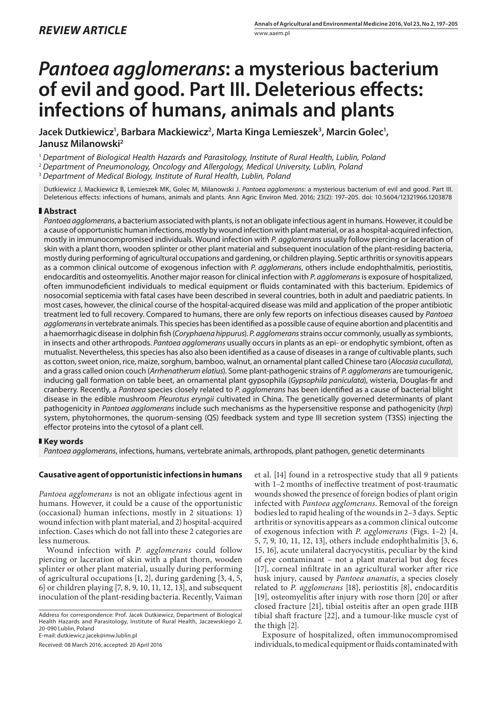# *Pantoea agglomerans***: a mysterious bacterium of evil and good. Part III. Deleterious effects: infections of humans, animals and plants**

Jacek Dutkiewicz', Barbara Mackiewicz<sup>2</sup>, Marta Kinga Lemieszek<sup>3</sup>, Marcin Golec<sup>1</sup>, **Janusz Milanowski2**

<sup>1</sup> *Department of Biological Health Hazards and Parasitology, Institute of Rural Health, Lublin, Poland*

<sup>2</sup> *Department of Pneumonology, Oncology and Allergology, Medical University, Lublin, Poland*

<sup>3</sup> *Department of Medical Biology, Institute of Rural Health, Lublin, Poland*

Dutkiewicz J, Mackiewicz B, Lemieszek MK, Golec M, Milanowski J. *Pantoea agglomerans*: a mysterious bacterium of evil and good. Part III. Deleterious effects: infections of humans, animals and plants. Ann Agric Environ Med. 2016; 23(2): 197–205. doi: 10.5604/12321966.1203878

# **Abstract**

*Pantoea agglomerans*, a bacterium associated with plants, is not an obligate infectious agent in humans. However, it could be a cause of opportunistic human infections, mostly by wound infection with plant material, or as a hospital-acquired infection, mostly in immunocompromised individuals. Wound infection with *P. agglomerans* usually follow piercing or laceration of skin with a plant thorn, wooden splinter or other plant material and subsequent inoculation of the plant-residing bacteria, mostly during performing of agricultural occupations and gardening, or children playing. Septic arthritis or synovitis appears as a common clinical outcome of exogenous infection with *P. agglomerans*, others include endophthalmitis, periostitis, endocarditis and osteomyelitis. Another major reason for clinical infection with *P*. *agglomerans* is exposure of hospitalized, often immunodeficient individuals to medical equipment or fluids contaminated with this bacterium. Epidemics of nosocomial septicemia with fatal cases have been described in several countries, both in adult and paediatric patients. In most cases, however, the clinical course of the hospital-acquired disease was mild and application of the proper antibiotic treatment led to full recovery. Compared to humans, there are only few reports on infectious diseases caused by *Pantoea agglomerans* in vertebrate animals. This species has been identified as a possible cause of equine abortion and placentitis and a haemorrhagic disease in dolphin fish (*Coryphaena hippurus*). *P. agglomerans* strains occur commonly, usually as symbionts, in insects and other arthropods. *Pantoea agglomerans* usually occurs in plants as an epi- or endophytic symbiont, often as mutualist. Nevertheless, this species has also also been identified as a cause of diseases in a range of cultivable plants, such as cotton, sweet onion, rice, maize, sorghum, bamboo, walnut, an ornamental plant called Chinese taro (*Alocasia cucullata*), and a grass called onion couch (*Arrhenatherum elatius*). Some plant-pathogenic strains of *P. agglomerans* are tumourigenic, inducing gall formation on table beet, an ornamental plant gypsophila (*Gypsophila paniculata*), wisteria, Douglas-fir and cranberry. Recently, a *Pantoea* species closely related to *P. agglomerans* has been identified as a cause of bacterial blight disease in the edible mushroom *Pleurotus eryngii* cultivated in China. The genetically governed determinants of plant pathogenicity in *Pantoea agglomerans* include such mechanisms as the hypersensitive response and pathogenicity (*hrp*) system, phytohormones, the quorum-sensing (QS) feedback system and type III secretion system (T3SS) injecting the effector proteins into the cytosol of a plant cell.

## **Key words**

*Pantoea agglomerans*, infections, humans, vertebrate animals, arthropods, plant pathogen, genetic determinants

## **Causative agent of opportunistic infections in humans**

*Pantoea agglomerans* is not an obligate infectious agent in humans. However, it could be a cause of the opportunistic (occasional) human infections, mostly in 2 situations: 1) wound infection with plant material, and 2) hospital-acquired infection. Cases which do not fall into these 2 categories are less numerous.

Wound infection with *P. agglomerans* could follow piercing or laceration of skin with a plant thorn, wooden splinter or other plant material, usually during performing of agricultural occupations [1, 2], during gardening [3, 4, 5, 6] or children playing [7, 8, 9, 10, 11, 12, 13], and subsequent inoculation of the plant-residing bacteria. Recently, Vaiman

Address for correspondence: Prof. Jacek Dutkiewicz, Department of Biological Health Hazards and Parasitology, Institute of Rural Health, Jaczewskiego 2, 20-090 Lublin, Poland

E-mail: dutkiewicz.jacek@imw.lublin.pl

Received: 08 March 2016; accepted: 20 April 2016

et al. [14] found in a retrospective study that all 9 patients with 1–2 months of ineffective treatment of post-traumatic wounds showed the presence of foreign bodies of plant origin infected with *Pantoea agglomerans*. Removal of the foreign bodies led to rapid healing of the wounds in 2–3 days. Septic arthritis or synovitis appears as a common clinical outcome of exogenous infection with *P. agglomerans* (Figs. 1–2) [4, 5, 7, 9, 10, 11, 12, 13], others include endophthalmitis [3, 6, 15, 16], acute unilateral dacryocystitis, peculiar by the kind of eye contaminant – not a plant material but dog feces [17], corneal infiltrate in an agricultural worker after rice husk injury, caused by *Pantoea ananatis*, a species closely related to *P. agglomerans* [18], periostitis [8], endocarditis [19], osteomyelitis after injury with rose thorn [20] or after closed fracture [21], tibial osteitis after an open grade IIIB tibial shaft fracture [22], and a tumour-like muscle cyst of the thigh [2].

Exposure of hospitalized, often immunocompromised individuals, to medical equipment or fluids contaminated with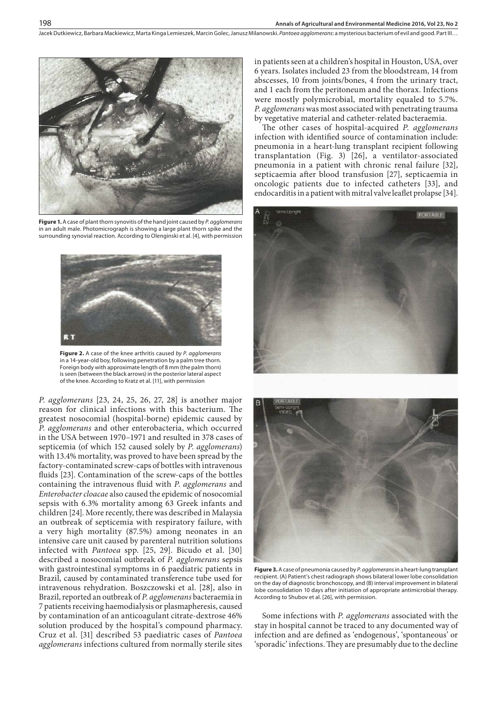Jacek Dutkiewicz, Barbara Mackiewicz, Marta Kinga Lemieszek, Marcin Golec, Janusz Milanowski . *Pantoea agglomerans*: a mysterious bacterium of evil and good. Part III…



**Figure 1.** A case of plant thorn synovitis of the hand joint caused by *P. agglomerans* in an adult male. Photomicrograph is showing a large plant thorn spike and the surrounding synovial reaction. According to Olenginski et al. [4], with permission



**Figure 2.** A case of the knee arthritis caused *by P. agglomerans* in a 14-year-old boy, following penetration by a palm tree thorn. Foreign body with approximate length of 8 mm (the palm thorn) is seen (between the black arrows) in the posterior lateral aspect of the knee. According to Kratz et al. [11], with permission

*P*. *agglomerans* [23, 24, 25, 26, 27, 28] is another major reason for clinical infections with this bacterium. The greatest nosocomial (hospital-borne) epidemic caused by *P*. *agglomerans* and other enterobacteria, which occurred in the USA between 1970–1971 and resulted in 378 cases of septicemia (of which 152 caused solely by *P*. *agglomerans*) with 13.4% mortality, was proved to have been spread by the factory-contaminated screw-caps of bottles with intravenous fluids [23]. Contamination of the screw-caps of the bottles containing the intravenous fluid with *P*. *agglomerans* and *Enterobacter cloacae* also caused the epidemic of nosocomial sepsis with 6.3% mortality among 63 Greek infants and children [24]. More recently, there was described in Malaysia an outbreak of septicemia with respiratory failure, with a very high mortality (87.5%) among neonates in an intensive care unit caused by parenteral nutrition solutions infected with *Pantoea* spp. [25, 29]. Bicudo et al. [30] described a nosocomial outbreak of *P. agglomerans* sepsis with gastrointestinal symptoms in 6 paediatric patients in Brazil, caused by contaminated transference tube used for intravenous rehydration. Boszczowski et al. [28], also in Brazil, reported an outbreak of *P. agglomerans* bacteraemia in 7 patients receiving haemodialysis or plasmapheresis, caused by contamination of an anticoagulant citrate-dextrose 46% solution produced by the hospital's compound pharmacy. Cruz et al. [31] described 53 paediatric cases of *Pantoea agglomerans* infections cultured from normally sterile sites

in patients seen at a children's hospital in Houston, USA, over 6 years. Isolates included 23 from the bloodstream, 14 from abscesses, 10 from joints/bones, 4 from the urinary tract, and 1 each from the peritoneum and the thorax. Infections were mostly polymicrobial, mortality equaled to 5.7%. *P. agglomerans* was most associated with penetrating trauma by vegetative material and catheter-related bacteraemia.

The other cases of hospital-acquired *P. agglomerans* infection with identified source of contamination include: pneumonia in a heart-lung transplant recipient following transplantation (Fig. 3) [26], a ventilator-associated pneumonia in a patient with chronic renal failure [32], septicaemia after blood transfusion [27], septicaemia in oncologic patients due to infected catheters [33], and endocarditis in a patient with mitral valve leaflet prolapse [34].





**Figure 3.** A case of pneumonia caused by *P. agglomerans* in a heart-lung transplant recipient. (A) Patient's chest radiograph shows bilateral lower lobe consolidation on the day of diagnostic bronchoscopy, and (B) interval improvement in bilateral lobe consolidation 10 days after initiation of appropriate antimicrobial therapy. According to Shubov et al. [26], with permission.

Some infections with *P. agglomerans* associated with the stay in hospital cannot be traced to any documented way of infection and are defined as 'endogenous', 'spontaneous' or 'sporadic' infections. They are presumably due to the decline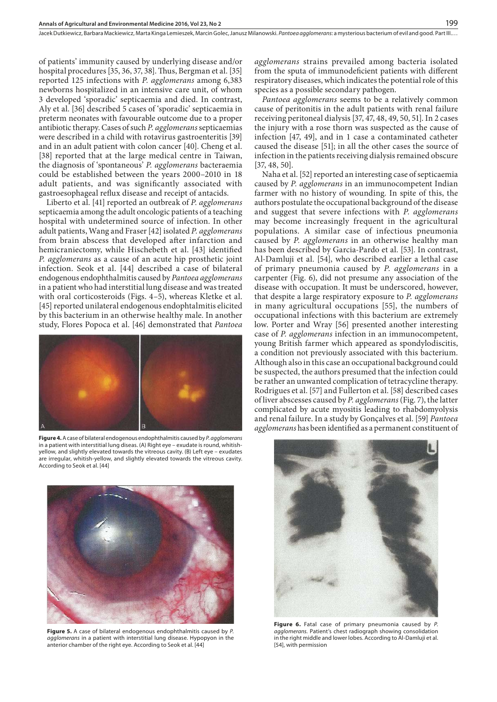of patients' immunity caused by underlying disease and/or hospital procedures [35, 36, 37, 38]. Thus, Bergman et al. [35] reported 125 infections with *P. agglomerans* among 6,383 newborns hospitalized in an intensive care unit, of whom 3 developed 'sporadic' septicaemia and died. In contrast, Aly et al. [36] described 5 cases of 'sporadic' septicaemia in preterm neonates with favourable outcome due to a proper antibiotic therapy. Cases of such *P. agglomerans* septicaemias were described in a child with rotavirus gastroenteritis [39] and in an adult patient with colon cancer [40]. Cheng et al. [38] reported that at the large medical centre in Taiwan, the diagnosis of 'spontaneous' *P. agglomerans* bacteraemia could be established between the years 2000–2010 in 18 adult patients, and was significantly associated with gastroesophageal reflux disease and receipt of antacids.

Liberto et al. [41] reported an outbreak of *P. agglomerans* septicaemia among the adult oncologic patients of a teaching hospital with undetermined source of infection. In other adult patients, Wang and Fraser [42] isolated *P. agglomerans* from brain abscess that developed after infarction and hemicraniectomy, while Hischebeth et al. [43] identified *P. agglomerans* as a cause of an acute hip prosthetic joint infection. Seok et al. [44] described a case of bilateral endogenous endophthalmitis caused by *Pantoea agglomerans*  in a patient who had interstitial lung disease and was treated with oral corticosteroids (Figs. 4–5), whereas Kletke et al. [45] reported unilateral endogenous endophtalmitis elicited by this bacterium in an otherwise healthy male. In another study, Flores Popoca et al. [46] demonstrated that *Pantoea* 



**Figure 4.** A case of bilateral endogenous endophthalmitis caused by *P. agglomerans* in a patient with interstitial lung diseas. (A) Right eye – exudate is round, whitishyellow, and slightly elevated towards the vitreous cavity. (B) Left eye – exudates are irregular, whitish-yellow, and slightly elevated towards the vitreous cavity. According to Seok et al. [44]



**Figure 5.** A case of bilateral endogenous endophthalmitis caused by *P. agglomerans* in a patient with interstitial lung disease. Hypopyon in the anterior chamber of the right eye. According to Seok et al. [44]

*agglomerans* strains prevailed among bacteria isolated from the sputa of immunodeficient patients with different respiratory diseases, which indicates the potential role of this species as a possible secondary pathogen.

199

*Pantoea agglomerans* seems to be a relatively common cause of peritonitis in the adult patients with renal failure receiving peritoneal dialysis [37, 47, 48, 49, 50, 51]. In 2 cases the injury with a rose thorn was suspected as the cause of infection [47, 49], and in 1 case a contaminated catheter caused the disease [51]; in all the other cases the source of infection in the patients receiving dialysis remained obscure [37, 48, 50].

Naha et al. [52] reported an interesting case of septicaemia caused by *P. agglomerans* in an immunocompetent Indian farmer with no history of wounding. In spite of this, the authors postulate the occupational background of the disease and suggest that severe infections with *P. agglomerans* may become increasingly frequent in the agricultural populations. A similar case of infectious pneumonia caused by *P. agglomerans* in an otherwise healthy man has been described by Garcia-Pardo et al. [53]. In contrast, Al-Damluji et al. [54], who described earlier a lethal case of primary pneumonia caused by *P. agglomerans* in a carpenter (Fig. 6), did not presume any association of the disease with occupation. It must be underscored, however, that despite a large respiratory exposure to *P. agglomerans* in many agricultural occupations [55], the numbers of occupational infections with this bacterium are extremely low. Porter and Wray [56] presented another interesting case of *P. agglomerans* infection in an immunocompetent, young British farmer which appeared as spondylodiscitis, a condition not previously associated with this bacterium. Although also in this case an occupational background could be suspected, the authors presumed that the infection could be rather an unwanted complication of tetracycline therapy. Rodrigues et al. [57] and Fullerton et al. [58] described cases of liver abscesses caused by *P. agglomerans* (Fig. 7), the latter complicated by acute myositis leading to rhabdomyolysis and renal failure. In a study by Gonçalves et al. [59] *Pantoea agglomerans* has been identified as a permanent constituent of



**Figure 6.** Fatal case of primary pneumonia caused by *P. agglomerans.* Patient's chest radiograph showing consolidation in the right middle and lower lobes. According to Al-Damluji et al. [54], with permission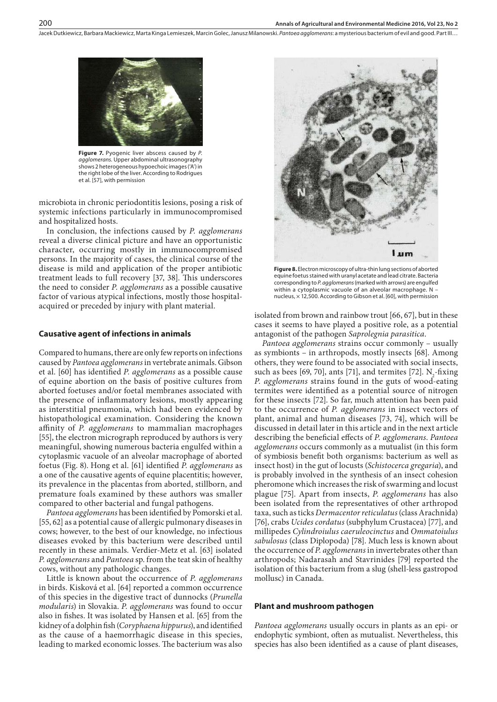Jacek Dutkiewicz, Barbara Mackiewicz, Marta Kinga Lemieszek, Marcin Golec, Janusz Milanowski . *Pantoea agglomerans*: a mysterious bacterium of evil and good. Part III…



**Figure 7.** Pyogenic liver abscess caused by *P. agglomerans.* Upper abdominal ultrasonography shows 2 heterogeneous hypoechoic images ('A') in the right lobe of the liver. According to Rodrigues et al. [57], with permission

microbiota in chronic periodontitis lesions, posing a risk of systemic infections particularly in immunocompromised and hospitalized hosts.

In conclusion, the infections caused by *P. agglomerans* reveal a diverse clinical picture and have an opportunistic character, occurring mostly in immunocompromised persons. In the majority of cases, the clinical course of the disease is mild and application of the proper antibiotic treatment leads to full recovery [37, 38]. This underscores the need to consider *P. agglomerans* as a possible causative factor of various atypical infections, mostly those hospitalacquired or preceded by injury with plant material.

#### **Causative agent of infections in animals**

Compared to humans, there are only few reports on infections caused by *Pantoea agglomerans* in vertebrate animals. Gibson et al. [60] has identified *P. agglomerans* as a possible cause of equine abortion on the basis of positive cultures from aborted foetuses and/or foetal membranes associated with the presence of inflammatory lesions, mostly appearing as interstitial pneumonia, which had been evidenced by histopathological examination. Considering the known affinity of *P. agglomerans* to mammalian macrophages [55], the electron micrograph reproduced by authors is very meaningful, showing numerous bacteria engulfed within a cytoplasmic vacuole of an alveolar macrophage of aborted foetus (Fig. 8). Hong et al. [61] identified *P. agglomerans* as a one of the causative agents of equine placentitis; however, its prevalence in the placentas from aborted, stillborn, and premature foals examined by these authors was smaller compared to other bacterial and fungal pathogens.

*Pantoea agglomerans* has been identified by Pomorski et al. [55, 62] as a potential cause of allergic pulmonary diseases in cows; however, to the best of our knowledge, no infectious diseases evoked by this bacterium were described until recently in these animals. Verdier-Metz et al. [63] isolated *P. agglomerans* and *Pantoea* sp. from the teat skin of healthy cows, without any pathologic changes.

Little is known about the occurrence of *P. agglomerans* in birds. Kisková et al. [64] reported a common occurrence of this species in the digestive tract of dunnocks (*Prunella modularis*) in Slovakia. *P. agglomerans* was found to occur also in fishes. It was isolated by Hansen et al. [65] from the kidney of a dolphin fish (*Coryphaena hippurus*), and identified as the cause of a haemorrhagic disease in this species, leading to marked economic losses. The bacterium was also



**Figure 8.** Electron microscopy of ultra-thin lung sections of aborted equine foetus stained with uranyl acetate and lead citrate. Bacteria corresponding to *P. agglomerans* (marked with arrows) are engulfed within a cytoplasmic vacuole of an alveolar macrophage. N – nucleus,  $\times$  12,500. According to Gibson et al. [60], with permission

isolated from brown and rainbow trout [66, 67], but in these cases it seems to have played a positive role, as a potential antagonist of the pathogen *Saprolegnia parasitica*.

*Pantoea agglomerans* strains occur commonly – usually as symbionts – in arthropods, mostly insects [68]. Among others, they were found to be associated with social insects, such as bees [69, 70], ants [71], and termites [72].  $N_2$ -fixing *P. agglomerans* strains found in the guts of wood-eating termites were identified as a potential source of nitrogen for these insects [72]. So far, much attention has been paid to the occurrence of *P. agglomerans* in insect vectors of plant, animal and human diseases [73, 74], which will be discussed in detail later in this article and in the next article describing the beneficial effects of *P. agglomerans*. *Pantoea agglomerans* occurs commonly as a mutualist (in this form of symbiosis benefit both organisms: bacterium as well as insect host) in the gut of locusts (*Schistocerca gregaria*), and is probably involved in the synthesis of an insect cohesion pheromone which increases the risk of swarming and locust plague [75]. Apart from insects, *P. agglomerans* has also been isolated from the representatives of other arthropod taxa, such as ticks *Dermacentor reticulatus* (class Arachnida) [76], crabs *Ucides cordatus* (subphylum Crustacea) [77], and millipedes *Cylindroiulus caeruleocinctus* and *Ommatoiulus sabulosus* (class Diplopoda) [78]. Much less is known about the occurrence of *P. agglomerans* in invertebrates other than arthropods; Nadarasah and Stavrinides [79] reported the isolation of this bacterium from a slug (shell-less gastropod mollusc) in Canada.

#### **Plant and mushroom pathogen**

*Pantoea agglomerans* usually occurs in plants as an epi- or endophytic symbiont, often as mutualist. Nevertheless, this species has also been identified as a cause of plant diseases,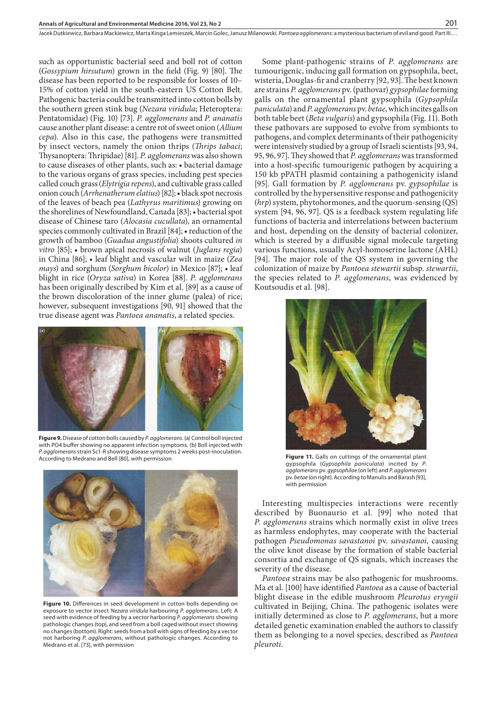such as opportunistic bacterial seed and boll rot of cotton (*Gossypium hirsutum*) grown in the field (Fig. 9) [80]. The disease has been reported to be responsible for losses of 10– 15% of cotton yield in the south-eastern US Cotton Belt. Pathogenic bacteria could be transmitted into cotton bolls by the southern green stink bug (*Nezara viridula*; Heteroptera: Pentatomidae) (Fig. 10) [73]. *P. agglomerans* and *P. ananatis* cause another plant disease: a centre rot of sweet onion (*Allium cepa*). Also in this case, the pathogens were transmitted by insect vectors, namely the onion thrips (*Thrips tabaci*; Thysanoptera: Thripidae) [81]. *P. agglomerans* was also shown to cause diseases of other plants, such as: • bacterial damage to the various organs of grass species, including pest species called couch grass (*Elytrigia repens*), and cultivable grass called onion couch (*Arrhenatherumelatius*) [82]; • black spot necrosis of the leaves of beach pea (*Lathyrus maritimus*) growing on the shorelines of Newfoundland, Canada [83]; • bacterial spot disease of Chinese taro (*Alocasia cucullata*), an ornamental species commonly cultivated in Brazil [84]; • reduction of the growth of bamboo (*Guadua angustifolia*) shoots cultured *in vitro* [85]; • brown apical necrosis of walnut (*Juglans regia*) in China [86]; • leaf blight and vascular wilt in maize (*Zea mays*) and sorghum (*Sorghum bicolor*) in Mexico [87]; • leaf blight in rice (*Oryza sativa*) in Korea [88]. *P. agglomerans* has been originally described by Kim et al. [89] as a cause of the brown discoloration of the inner glume (palea) of rice; however, subsequent investigations [90, 91] showed that the true disease agent was *Pantoea ananatis*, a related species.



**Figure 9.** Disease of cotton bolls caused by *P. agglomerans.* (a) Control boll injected with PO4 buffer showing no apparent infection symptoms. (b) Boll injected with *P. agglomerans* strain Sc1-R showing disease symptoms 2 weeks post-inoculation. According to Medrano and Bell [80], with permission **Figure 11.** Galls on cuttings of the ornamental plant



**Figure 10.** Differences in seed development in cotton bolls depending on exposure to vector insect *Nezara viridula* harbouring *P. agglomerans*. Left: A seed with evidence of feeding by a vector harboring *P. agglomerans* showing pathologic changes (top), and seed from a boll caged without insect showing no changes (bottom). Right: seeds from a boll with signs of feeding by a vector not harboring *P. agglomerans*, without pathologic changes. According to Medrano et al. [73], with permission

Some plant-pathogenic strains of *P. agglomerans* are tumourigenic, inducing gall formation on gypsophila, beet, wisteria, Douglas-fir and cranberry [92, 93]. The best known are strains *P. agglomerans* pv. (pathovar) *gypsophilae* forming galls on the ornamental plant gypsophila (*Gypsophila paniculata*) and *P. agglomerans* pv. *betae,* which incites galls on both table beet (*Beta vulgaris*) and gypsophila (Fig. 11). Both these pathovars are supposed to evolve from symbionts to pathogens, and complex determinants of their pathogenicity were intensively studied by a group of Israeli scientists [93, 94, 95, 96, 97]. They showed that *P. agglomerans* was transformed into a host-specific tumourigenic pathogen by acquiring a 150 kb pPATH plasmid containing a pathogenicity island [95]. Gall formation by *P. agglomerans* pv. *gypsophilae* is controlled by the hypersensitive response and pathogenicity (*hrp*) system, phytohormones, and the quorum-sensing (QS) system [94, 96, 97]. QS is a feedback system regulating life functions of bacteria and interrelations between bacterium and host, depending on the density of bacterial colonizer, which is steered by a diffusible signal molecule targeting various functions, usually Acyl-homoserine lactone (AHL) [94]. The major role of the QS system in governing the colonization of maize by *Pantoea stewartii* subsp. *stewartii*, the species related to *P. agglomerans*, was evidenced by Koutsoudis et al. [98].

201



gypsophila (*Gypsophila paniculata*) incited by *P. agglomerans* pv. *gypsophilae* (on left) and *P. agglomerans* pv. *betae* (on right). According to Manulis and Barash [93], with permission

Interesting multispecies interactions were recently described by Buonaurio et al. [99] who noted that *P. agglomerans* strains which normally exist in olive trees as harmless endophytes, may cooperate with the bacterial pathogen *Pseudomonas savastanoi* pv. *savastanoi,* causing the olive knot disease by the formation of stable bacterial consortia and exchange of QS signals, which increases the severity of the disease.

*Pantoea* strains may be also pathogenic for mushrooms. Ma et al. [100] have identified *Pantoea* as a cause of bacterial blight disease in the edible mushroom *Pleurotus eryngii* cultivated in Beijing, China. The pathogenic isolates were initially determined as close to *P. agglomerans*, but a more detailed genetic examination enabled the authors to classify them as belonging to a novel species, described as *Pantoea pleuroti*.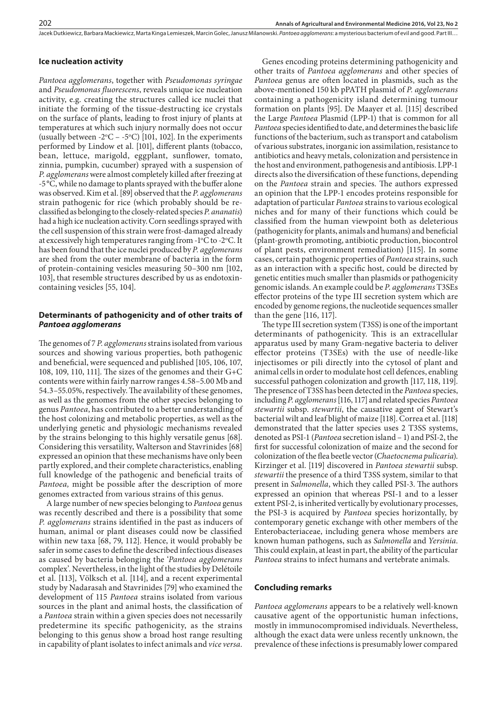Jacek Dutkiewicz, Barbara Mackiewicz, Marta Kinga Lemieszek, Marcin Golec, Janusz Milanowski . *Pantoea agglomerans*: a mysterious bacterium of evil and good. Part III…

# **Ice nucleation activity**

*Pantoea agglomerans*, together with *Pseudomonas syringae*  and *Pseudomonas fluorescens*, reveals unique ice nucleation activity, e.g. creating the structures called ice nuclei that initiate the forming of the tissue-destructing ice crystals on the surface of plants, leading to frost injury of plants at temperatures at which such injury normally does not occur (usually between  $-2^{\circ}C - -5^{\circ}C$ ) [101, 102]. In the experiments performed by Lindow et al. [101], different plants (tobacco, bean, lettuce, marigold, eggplant, sunflower, tomato, zinnia, pumpkin, cucumber) sprayed with a suspension of *P. agglomerans* were almost completely killed after freezing at -5°C, while no damage to plants sprayed with the buffer alone was observed. Kim et al. [89] observed that the *P. agglomerans* strain pathogenic for rice (which probably should be reclassified as belonging to the closely-related species *P. ananatis*) had a high ice nucleation activity. Corn seedlings sprayed with the cell suspension of this strain were frost-damaged already at excessively high temperatures ranging from -1°C to -2°C. It has been found that the ice nuclei produced by *P. agglomerans*  are shed from the outer membrane of bacteria in the form of protein-containing vesicles measuring 50–300 nm [102, 103], that resemble structures described by us as endotoxincontaining vesicles [55, 104].

# **Determinants of pathogenicity and of other traits of**  *Pantoea agglomerans*

The genomes of 7 *P. agglomerans* strains isolated from various sources and showing various properties, both pathogenic and beneficial, were sequenced and published [105, 106, 107, 108, 109, 110, 111]. The sizes of the genomes and their G+C contents were within fairly narrow ranges 4.58–5.00 Mb and 54.3–55.05%, respectively. The availability of these genomes, as well as the genomes from the other species belonging to genus *Pantoea*, has contributed to a better understanding of the host colonizing and metabolic properties, as well as the underlying genetic and physiologic mechanisms revealed by the strains belonging to this highly versatile genus [68]. Considering this versatility, Walterson and Stavrinides [68] expressed an opinion that these mechanisms have only been partly explored, and their complete characteristics, enabling full knowledge of the pathogenic and beneficial traits of *Pantoea,* might be possible after the description of more genomes extracted from various strains of this genus.

A large number of new species belonging to *Pantoea* genus was recently described and there is a possibility that some *P. agglomerans* strains identified in the past as inducers of human, animal or plant diseases could now be classified within new taxa [68, 79, 112]. Hence, it would probably be safer in some cases to define the described infectious diseases as caused by bacteria belonging the '*Pantoea agglomerans* complex'. Nevertheless, in the light of the studies by Delétoile et al. [113], Völksch et al. [114], and a recent experimental study by Nadarasah and Stavrinides [79] who examined the development of 115 *Pantoea* strains isolated from various sources in the plant and animal hosts, the classification of a *Pantoea* strain within a given species does not necessarily predetermine its specific pathogenicity, as the strains belonging to this genus show a broad host range resulting in capability of plant isolates to infect animals and *vice versa*.

Genes encoding proteins determining pathogenicity and other traits of *Pantoea agglomerans* and other species of *Pantoea* genus are often located in plasmids, such as the above-mentioned 150 kb pPATH plasmid of *P. agglomerans* containing a pathogenicity island determining tumour formation on plants [95]. De Maayer et al. [115] described the Large *Pantoea* Plasmid (LPP-1) that is common for all *Pantoea* species identified to date, and determines the basic life functions of the bacterium, such as transport and catabolism of various substrates, inorganic ion assimilation, resistance to antibiotics and heavy metals, colonization and persistence in the host and environment, pathogenesis and antibiosis. LPP-1 directs also the diversification of these functions, depending on the *Pantoea* strain and species. The authors expressed an opinion that the LPP-1 encodes proteins responsible for adaptation of particular *Pantoea* strains to various ecological niches and for many of their functions which could be classified from the human viewpoint both as deleterious (pathogenicity for plants, animals and humans) and beneficial (plant-growth promoting, antibiotic production, biocontrol of plant pests, environment remediation) [115]. In some cases, certain pathogenic properties of *Pantoea* strains, such as an interaction with a specific host, could be directed by genetic entities much smaller than plasmids or pathogenicity genomic islands. An example could be *P. agglomerans* T3SEs effector proteins of the type III secretion system which are encoded by genome regions, the nucleotide sequences smaller than the gene [116, 117].

The type III secretion system (T3SS) is one of the important determinants of pathogenicity. This is an extracellular apparatus used by many Gram-negative bacteria to deliver effector proteins (T3SEs) with the use of needle-like injectisomes or pili directly into the cytosol of plant and animal cells in order to modulate host cell defences, enabling successful pathogen colonization and growth [117, 118, 119]. The presence of T3SS has been detected in the *Pantoea* species, including *P. agglomerans* [116, 117] and related species *Pantoea stewartii* subsp. *stewartii*, the causative agent of Stewart's bacterial wilt and leaf blight of maize [118]. Correa et al. [118] demonstrated that the latter species uses 2 T3SS systems, denoted as PSI-1 (*Pantoea* secretion island – 1) and PSI-2, the first for successful colonization of maize and the second for colonization of the flea beetle vector (*Chaetocnema pulicaria*). Kirzinger et al. [119] discovered in *Pantoea stewartii* subsp. *stewartii* the presence of a third T3SS system, similar to that present in *Salmonella*, which they called PSI-3. The authors expressed an opinion that whereas PSI-1 and to a lesser extent PSI-2, is inherited vertically by evolutionary processes, the PSI-3 is acquired by *Pantoea* species horizontally, by contemporary genetic exchange with other members of the Enterobacteriaceae, including genera whose members are known human pathogens, such as *Salmonella* and *Yersinia*. This could explain, at least in part, the ability of the particular *Pantoea* strains to infect humans and vertebrate animals.

## **Concluding remarks**

*Pantoea agglomerans* appears to be a relatively well-known causative agent of the opportunistic human infections, mostly in immunocompromised individuals. Nevertheless, although the exact data were unless recently unknown, the prevalence of these infections is presumably lower compared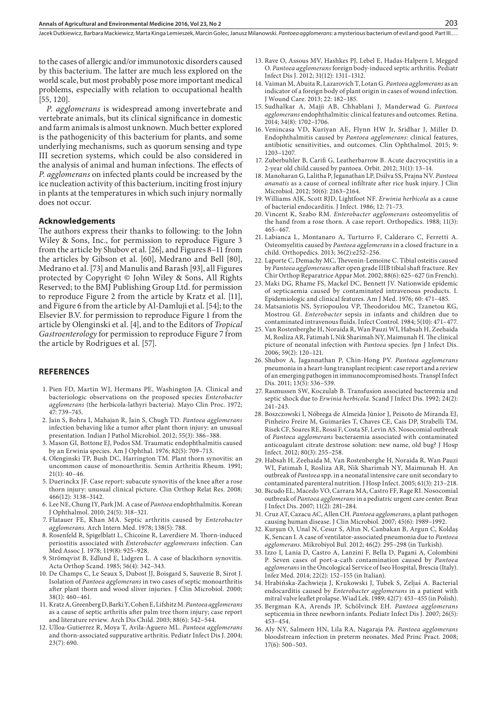Jacek Dutkiewicz, Barbara Mackiewicz, Marta Kinga Lemieszek, Marcin Golec, Janusz Milanowski . *Pantoea agglomerans*: a mysterious bacterium of evil and good. Part III.…

to the cases of allergic and/or immunotoxic disorders caused by this bacterium. The latter are much less explored on the world scale, but most probably pose more important medical problems, especially with relation to occupational health [55, 120].

*P. agglomerans* is widespread among invertebrate and vertebrate animals, but its clinical significance in domestic and farm animals is almost unknown. Much better explored is the pathogenicity of this bacterium for plants, and some underlying mechanisms, such as quorum sensing and type III secretion systems, which could be also considered in the analysis of animal and human infections. The effects of *P. agglomerans* on infected plants could be increased by the ice nucleation activity of this bacterium, inciting frost injury in plants at the temperatures in which such injury normally does not occur.

#### **Acknowledgements**

The authors express their thanks to following: to the John Wiley & Sons, Inc., for permission to reproduce Figure 3 from the article by Shubov et al. [26], and Figures 8–11 from the articles by Gibson et al. [60], Medrano and Bell [80], Medrano et al. [73] and Manulis and Barash [93], all Figures protected by Copyright © John Wiley & Sons, All Rights Reserved; to the BMJ Publishing Group Ltd. for permission to reproduce Figure 2 from the article by Kratz et al. [11], and Figure 6 from the article by Al-Damluji et al. [54]; to the Elsevier B.V. for permission to reproduce Figure 1 from the article by Olenginski et al. [4], and to the Editors of *Tropical Gastroenterology* for permission to reproduce Figure 7 from the article by Rodrigues et al. [57].

#### **REFERENCES**

- 1. Pien FD, Martin WJ, Hermans PE, Washington JA. Clinical and bacteriologic observations on the proposed species *Enterobacter agglomerans* (the herbicola-lathyri bacteria). Mayo Clin Proc. 1972; 47: 739–745.
- 2. Jain S, Bohra I, Mahajan R, Jain S, Chugh TD. *Pantoea agglomerans* infection behaving like a tumor after plant thorn injury: an unusual presentation. Indian J Pathol Microbiol. 2012; 55(3): 386–388.
- 3. Mason GI, Bottone EJ, Podos SM. Traumatic endophthalmitis caused by an Erwinia species. Am J Ophthal. 1976; 82(5): 709–713.
- 4. Olenginski TP, Bush DC, Harrington TM. Plant thorn synovitis: an uncommon cause of monoarthritis. Semin Arthritis Rheum. 1991; 21(1): 40–46.
- 5. Duerinckx JF. Case report: subacute synovitis of the knee after a rose thorn injury: unusual clinical picture. Clin Orthop Relat Res. 2008; 466(12): 3138–3142.
- 6. Lee NE, Chung IY, Park JM. A case of *Pantoea* endophthalmitis. Korean J Ophthalmol. 2010; 24(5): 318–321.
- 7. Flatauer FE, Khan MA. Septic arthritis caused by *Enterobacter agglomerans*. Arch Intern Med. 1978; 138(5): 788.
- 8. Rosenfeld R, Spigelblatt L, Chicoine R, Laverdiere M. Thorn-induced periostitis associated with *Enterobacter agglomerans* infection. Can Med Assoc J. 1978; 119(8): 925–928.
- 9. Strömqvist B, Edlund E, Lidgren L. A case of blackthorn synovitis. Acta Orthop Scand. 1985; 56(4): 342–343.
- 10. De Champs C, Le Seaux S, Dubost JJ, Boisgard S, Sauvezie B, Sirot J. Isolation of *Pantoea agglomerans* in two cases of septic monoarthritis after plant thorn and wood sliver injuries. J Clin Microbiol. 2000; 38(1): 460–461.
- 11. Kratz A, Greenberg D, Barki Y, Cohen E, Lifshitz M. *Pantoea agglomerans* as a cause of septic arthritis after palm tree thorn injury; case report and literature review. Arch Dis Child. 2003; 88(6): 542–544.
- 12. Ulloa-Gutierrez R, Moya T, Avila-Aguero ML. *Pantoea agglomerans* and thorn-associated suppurative arthritis. Pediatr Infect Dis J. 2004; 23(7): 690.
- 13. Rave O, Assous MV, Hashkes PJ, Lebel E, Hadas-Halpern I, Megged O. *Pantoea agglomerans* foreign body-induced septic arthritis. Pediatr Infect Dis J. 2012; 31(12): 1311–1312.
- 14. Vaiman M, Abuita R, Lazarovich T, Lotan G. *Pantoea agglomerans* as an indicator of a foreign body of plant origin in cases of wound infection. J Wound Care. 2013; 22: 182–185.
- 15. Sudhalkar A, Majji AB, Chhablani J, Manderwad G. *Pantoea agglomerans* endophthalmitis: clinical features and outcomes. Retina. 2014; 34(8): 1702–1706.
- 16. Venincasa VD, Kuriyan AE, Flynn HW Jr, Sridhar J, Miller D. Endophthalmitis caused by *Pantoea agglomerans*: clinical features, antibiotic sensitivities, and outcomes. Clin Ophthalmol. 2015; 9: 1203–1207.
- 17. Zuberbuhler B, Carifi G, Leatherbarrow B. Acute dacryocystitis in a 2-year old child caused by pantoea. Orbit. 2012; 31(1): 13–14.
- 18. Manoharan G, Lalitha P, Jeganathan LP, Dsilva SS, Prajna NV. *Pantoea ananatis* as a cause of corneal infiltrate after rice husk injury. J Clin Microbiol. 2012; 50(6): 2163–2164.
- 19. Williams AJK, Scott RJD, Lightfoot NF. *Erwinia herbicola* as a cause of bacterial endocarditis. J Infect. 1986; 12: 71–73.
- 20. Vincent K, Szabo RM. *Enterobacter agglomerans* osteomyelitis of the hand from a rose thorn. A case report. Orthopedics. 1988; 11(3): 465–467.
- 21. Labianca L, Montanaro A, Turturro F, Calderaro C, Ferretti A. Osteomyelitis caused by *Pantoea agglomerans* in a closed fracture in a child. Orthopedics. 2013; 36(2):e252–256.
- 22. Laporte C, Demachy MC, Thevenin-Lemoine C. Tibial osteitis caused by *Pantoea agglomerans* after open grade IIIB tibial shaft fracture. Rev Chir Orthop Reparatrice Appar Mot. 2002; 88(6): 625–627 (in French).
- 23. Maki DG, Rhame FS, Mackel DC, Bennett JV. Nationwide epidemic of septicaemia caused by contaminated intravenous products. I. Epidemiologic and clinical features. Am J Med. 1976; 60: 471–485.
- 24. Matsaniotis NS, Syriopoulou VP, Theodoridou MC, Tzanetou KG, Mostrou GI. *Enterobacter* sepsis in infants and children due to contaminated intravenous fluids. Infect Control. 1984; 5(10): 471–477.
- 25. Van Rostenberghe H, Noraida R, Wan Pauzi WI, Habsah H, Zeehaida M, Rosliza AR, Fatimah I, Nik Sharimah NY, Maimunah H. The clinical picture of neonatal infection with *Pantoea* species. Jpn J Infect Dis. 2006; 59(2): 120–121.
- 26. Shubov A, Jagannathan P, Chin-Hong PV. *Pantoea agglomerans* pneumonia in a heart-lung transplant recipient: case report and a review of an emerging pathogen in immunocompromised hosts. Transpl Infect Dis. 2011; 13(5): 536–539.
- 27. Rasmussen SW, Koczulab B. Transfusion associated bacteremia and septic shock due to *Erwinia herbicola*. Scand J Infect Dis. 1992; 24(2): 241–243.
- 28. Boszczowski I, Nóbrega de Almeida Júnior J, Peixoto de Miranda EJ, Pinheiro Freire M, Guimarães T, Chaves CE, Cais DP, Strabelli TM, Risek CF, Soares RE, Rossi F, Costa SF, Levin AS. Nosocomial outbreak of *Pantoea agglomerans* bacteraemia associated with contaminated anticoagulant citrate dextrose solution: new name, old bug? J Hosp Infect. 2012; 80(3): 255–258.
- 29. Habsah H, Zeehaida M, Van Rostenberghe H, Noraida R, Wan Pauzi WI, Fatimah I, Rosliza AR, Nik Sharimah NY, Maimunah H. An outbreak of *Pantoea* spp. in a neonatal intensive care unit secondary to contaminated parenteral nutrition. J Hosp Infect. 2005; 61(3): 213–218.
- 30. Bicudo EL, Macedo VO, Carrara MA, Castro FF, Rage RI. Nosocomial outbreak of *Pantoea agglomerans* in a pediatric urgent care center. Braz J Infect Dis. 2007; 11(2): 281–284.
- 31. Cruz AT, Cazacu AC, Allen CH. *Pantoea agglomerans*, a plant pathogen causing human disease. J Clin Microbiol. 2007; 45(6): 1989–1992.
- 32. Kurşun O, Unal N, Cesur S, Altın N, Canbakan B, Argun C, Koldaş K, Sencan I. A case of ventilator-associated pneumonia due to *Pantoea agglomerans*. Mikrobiyol Bul. 2012; 46(2): 295–298 (in Turkish).
- 33. Izzo I, Lania D, Castro A, Lanzini F, Bella D, Pagani A, Colombini P. Seven cases of port-a-cath contamination caused by *Pantoea agglomerans* in the Oncological Service of Iseo Hospital, Brescia (Italy). Infez Med. 2014; 22(2): 152–155 (in Italian).
- 34. Hrabińska-Zachwieja J, Krukowski J, Tubek S, Zeljaś A. Bacterial endocarditis caused by *Enterobacter agglomerans* in a patient with mitral valve leaflet prolapse. Wiad Lek. 1989; 42(7): 453–455 (in Polish).
- 35. Bergman KA, Arends JP, Schölvinck EH. *Pantoea agglomerans* septicemia in three newborn infants. Pediatr Infect Dis J. 2007; 26(5): 453–454.
- 36. Aly NY, Salmeen HN, Lila RA, Nagaraja PA. *Pantoea agglomerans* bloodstream infection in preterm neonates. Med Princ Pract. 2008; 17(6): 500–503.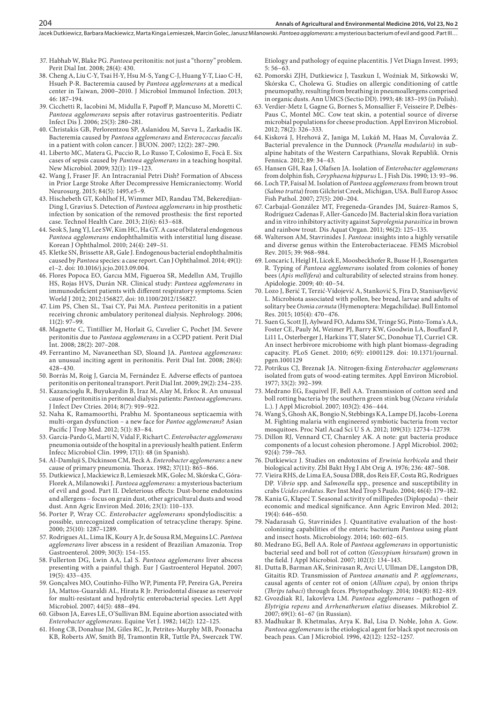- 37. Habhab W, Blake PG. *Pantoea* peritonitis: not just a "thorny" problem. Perit Dial Int. 2008; 28(4): 430.
- 38. Cheng A, Liu C-Y, Tsai H-Y, Hsu M-S, Yang C-J, Huang Y-T, Liao C-H, Hsueh P-R. Bacteremia caused by *Pantoea agglomerans* at a medical center in Taiwan, 2000–2010. J Microbiol Immunol Infection. 2013; 46: 187–194.
- 39. Cicchetti R, Iacobini M, Midulla F, Papoff P, Mancuso M, Moretti C. *Pantoea agglomerans* sepsis after rotavirus gastroenteritis. Pediatr Infect Dis J. 2006; 25(3): 280–281.
- 40. Christakis GB, Perlorentzou SP, Aslanidou M, Savva L, Zarkadis IK. Bacteremia caused by *Pantoea agglomerans* and *Enterococcus faecalis* in a patient with colon cancer. J BUON. 2007; 12(2): 287–290.
- 41. Liberto MC, Matera G, Puccio R, Lo Russo T, Colosimo E, Focà E. Six cases of sepsis caused by *Pantoea agglomerans* in a teaching hospital. New Microbiol. 2009; 32(1): 119–123.
- 42. Wang J, Fraser JF. An Intracranial Petri Dish? Formation of Abscess in Prior Large Stroke After Decompressive Hemicraniectomy. World Neurosurg. 2015; 84(5): 1495.e5–9.
- 43. Hischebeth GT, Kohlhof H, Wimmer MD, Randau TM, Bekeredjian-Ding I, Gravius S. Detection of *Pantoea agglomerans* in hip prosthetic infection by sonication of the removed prosthesis: the first reported case. Technol Health Care. 2013; 21(6): 613–618.
- 44. Seok S, Jang YJ, Lee SW, Kim HC, Ha GY. A case of bilateral endogenous *Pantoea agglomerans* endophthalmitis with interstitial lung disease. Korean J Ophthalmol. 2010; 24(4): 249–51.
- 45. Kletke SN, Brissette AR, Gale J. Endogenous bacterial endophthalmitis caused by *Pantoea* species: a case report. Can J Ophthalmol. 2014; 49(1): e1–2. doi: 10.1016/j.jcjo.2013.09.004.
- 46. Flores Popoca EO, Garcıa MM, Figueroa SR, Medellın AM, Trujillo HS, Rojas HVS, Durán NR. Clinical study: *Pantoea agglomerans* in immunodeficient patients with different respiratory symptoms. Scien World J 2012; 2012:156827, doi: 10.1100/2012/156827.
- 47. Lim PS, Chen SL, Tsai CY, Pai MA. *Pantoea* peritonitis in a patient receiving chronic ambulatory peritoneal dialysis. Nephrology. 2006; 11(2): 97–99.
- 48. Magnette C, Tintillier M, Horlait G, Cuvelier C, Pochet JM. Severe peritonitis due to *Pantoea agglomerans* in a CCPD patient. Perit Dial Int. 2008; 28(2): 207–208.
- 49. Ferrantino M, Navaneethan SD, Sloand JA. *Pantoea agglomerans*: an unusual inciting agent in peritonitis. Perit Dial Int. 2008; 28(4): 428–430.
- 50. Borràs M, Roig J, Garcia M, Fernández E. Adverse effects of pantoea peritonitis on peritoneal transport. Perit Dial Int. 2009; 29(2): 234–235.
- 51. Kazancioglu R, Buyukaydin B, Iraz M, Alay M, Erkoc R. An unusual cause of peritonitis in peritoneal dialysis patients: *Pantoea agglomerans*. J Infect Dev Ctries. 2014; 8(7): 919–922.
- 52. Naha K, Ramamoorthi, Prabhu M. Spontaneous septicaemia with multi-organ dysfunction – a new face for *Pantoe agglomerans*? Asian Pacific J Trop Med. 2012; 5(1): 83–84.
- 53. García-Pardo G, Martí N, Vidal F, Richart C. *Enterobacter agglomerans* pneumonia outside of the hospital in a previously health patient. Enferm Infecc Microbiol Clin. 1999; 17(1): 48 (in Spanish).
- 54. Al-Damluji S, Dickinson CM, Beck A. *Enterobacter agglomerans*: a new cause of primary pneumonia. Thorax. 1982; 37(11): 865–866.
- 55. Dutkiewicz J, Mackiewicz B, Lemieszek MK, Golec M, Skórska C, Góra-Florek A, Milanowski J. *Pantoea agglomerans*: a mysterious bacterium of evil and good. Part II. Deleterious effects: Dust-borne endotoxins and allergens – focus on grain dust, other agricultural dusts and wood dust. Ann Agric Environ Med. 2016; 23(1): 110–133.
- 56. Porter P, Wray CC. *Enterobacter agglomerans* spondylodiscitis: a possible, unrecognized complication of tetracycline therapy. Spine. 2000; 25(10): 1287–1289.
- 57. Rodrigues AL, Lima IK, Koury A Jr, de Sousa RM, Meguins LC. *Pantoea agglomerans* liver abscess in a resident of Brazilian Amazonia. Trop Gastroenterol. 2009; 30(3): 154–155.
- 58. Fullerton DG, Lwin AA, Lal S. *Pantoea agglomerans* liver abscess presenting with a painful thigh. Eur J Gastroenterol Hepatol. 2007; 19(5): 433–435.
- 59. Gonçalves MO, Coutinho-Filho WP, Pimenta FP, Pereira GA, Pereira JA, Mattos-Guaraldi AL, Hirata R Jr. Periodontal disease as reservoir for multi-resistant and hydrolytic enterobacterial species. Lett Appl Microbiol. 2007; 44(5): 488–494.
- 60. Gibson JA, Eaves LE, O'Sullivan BM. Equine abortion associated with *Enterobacter agglomerans*. Equine Vet J. 1982; 14(2): 122–125.
- 61. Hong CB, Donahue JM, Giles RC, Jr, Petrites-Murphy MB, Poonacha KB, Roberts AW, Smith BJ, Tramontin RR, Tuttle PA, Swerczek TW.

Etiology and pathology of equine placentitis. J Vet Diagn Invest. 1993; 5: 56–63.

- 62. Pomorski ZJH, Dutkiewicz J, Taszkun I, Woźniak M, Sitkowski W, Skórska C, Cholewa G. Studies on allergic conditioning of cattle pneumopathy, resulting from breathing in pneumoallergens comprised in organic dusts. Ann UMCS (Sectio DD). 1993; 48: 183–193 (in Polish).
- 63. Verdier-Metz I, Gagne G, Bornes S, Monsallier F, Veisseire P, Delbès-Paus C, Montel MC. Cow teat skin, a potential source of diverse microbial populations for cheese production. Appl Environ Microbiol. 2012; 78(2): 326–333.
- 64. Kisková J, Hrehová Z, Janiga M, Lukáň M, Haas M, Čuvalováa Z. Bacterial prevalence in the Dunnock (*Prunella modularis*) in subalpine habitats of the Western Carpathians, Slovak Republik. Ornis Fennica. 2012; 89: 34–43.
- 65. Hansen GH, Raa J, Olafsen JA. Isolation of *Enterobacter agglomerans* from dolphin fish, *Coryphaena hippurus* L. J Fish Dis. 1990; 13: 93–96.
- 66. Loch TP, Faisal M. Isolation of *Pantoea agglomerans* from brown trout (*Salmo trutta*) from Gilchrist Creek, Michigan, USA. Bull Europ Assoc Fish Pathol. 2007; 27(5): 200–204.
- 67. Carbajal-González MT, Fregeneda-Grandes JM, Suárez-Ramos S, Rodríguez Cadenas F, Aller-Gancedo JM. Bacterial skin flora variation and in vitro inhibitory activity against *Saprolegnia parasitica* in brown and rainbow trout. Dis Aquat Organ. 2011; 96(2): 125–135.
- 68. Walterson AM, Stavrinides J. *Pantoea*: insights into a highly versatile and diverse genus within the Enterobacteriaceae. FEMS Microbiol Rev. 2015; 39: 968–984.
- 69. Loncaric I, Heigl H, Licek E, Moosbeckhofer R, Busse H-J, Rosengarten R. Typing of *Pantoea agglomerans* isolated from colonies of honey bees (*Apis mellifera*) and culturability of selected strains from honey. Apidologie. 2009; 40: 40–54.
- 70. Lozo J, Berić T, Terzić-Vidojević A, Stanković S, Fira D, Stanisavljević L. Microbiota associated with pollen, bee bread, larvae and adults of solitary bee *Osmia cornuta* (Hymenoptera: Megachilidae). Bull Entomol Res. 2015; 105(4): 470–476.
- 71. Suen G, Scott JJ, Aylward FO, Adams SM, Tringe SG, Pinto-Toma´s AA, Foster CE, Pauly M, Weimer PJ, Barry KW, Goodwin LA, Bouffard P, Li11 L, Osterberger J, Harkins TT, Slater SC, Donohue TJ, Currie1 CR. An insect herbivore microbiome with high plant biomass-degrading capacity. PLoS Genet. 2010; 6(9): e1001129. doi: 10.1371/journal. pgen.1001129
- 72. Potrikus CJ, Breznak JA. Nitrogen-fixing *Enterobacter agglomerans* isolated from guts of wood-eating termites. Appl Environ Microbiol. 1977; 33(2): 392–399.
- 73. Medrano EG, Esquivel JF, Bell AA. Transmission of cotton seed and boll rotting bacteria by the southern green stink bug (*Nezara viridula* L.). J Appl Microbiol. 2007; 103(2): 436–444.
- 74. Wang S, Ghosh AK, Bongio N, Stebbings KA, Lampe DJ, Jacobs-Lorena M. Fighting malaria with engineered symbiotic bacteria from vector mosquitoes. Proc Natl Acad Sci U S A. 2012; 109(31): 12734–12739.
- 75. Dillon RJ, Vennard CT, Charnley AK. A note: gut bacteria produce components of a locust cohesion pheromone. J Appl Microbiol. 2002; 92(4): 759–763.
- 76. Dutkiewicz J. Studies on endotoxins of *Erwinia herbicola* and their biological activity. Zbl Bakt Hyg I Abt Orig A. 1976; 236: 487–508.
- 77. Vieira RHS, de Lima EA, Sousa DBR, dos Reis EF, Costa RG, Rodrigues DP. *Vibrio* spp. and *Salmonella* spp., presence and susceptibility in crabs *Ucides cordatus*. Rev Inst Med Trop S Paulo. 2004; 46(4): 179–182.
- 78. Kania G, Kłapeć T. Seasonal activity of millipedes (Diplopoda) their economic and medical significance. Ann Agric Environ Med. 2012; 19(4): 646–650.
- 79. Nadarasah G, Stavrinides J. Quantitative evaluation of the hostcolonizing capabilities of the enteric bacterium *Pantoea* using plant and insect hosts. Microbiology. 2014; 160: 602–615.
- 80. Medrano EG, Bell AA. Role of *Pantoea agglomerans* in opportunistic bacterial seed and boll rot of cotton (*Gossypium hirsutum*) grown in the field. J Appl Microbiol. 2007; 102(1): 134–143.
- 81. Dutta B, Barman AK, Srinivasan R, Avci U, Ullman DE, Langston DB, Gitaitis RD. Transmission of *Pantoea ananatis* and *P. agglomerans*, causal agents of center rot of onion (*Allium cepa*), by onion thrips (*Thrips tabaci*) through feces. Phytopathology. 2014; 104(8): 812–819.
- 82. Gvozdiak RI, Iakovleva LM. *Pantoea agglomerans* pathogen of *Elytrigia repens* and *Arrhenatherum elatius* diseases. Mikrobiol Z. 2007; 69(1): 61–67 (in Russian).
- 83. Madhukar B. Khetmalas, Arya K. Bal, Lisa D. Noble, John A. Gow. *Pantoea agglomerans* is the etiological agent for black spot necrosis on beach peas. Can J Microbiol. 1996, 42(12): 1252–1257.